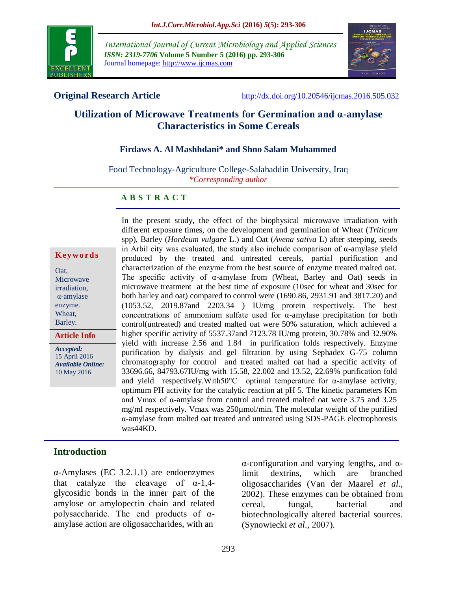

*International Journal of Current Microbiology and Applied Sciences ISSN: 2319-7706* **Volume 5 Number 5 (2016) pp. 293-306** Journal homepage: http://www.ijcmas.com



**Original Research Article** <http://dx.doi.org/10.20546/ijcmas.2016.505.032>

# **Utilization of Microwave Treatments for Germination and α-amylase Characteristics in Some Cereals**

## **Firdaws A. Al Mashhdani\* and Shno Salam Muhammed**

Food Technology-Agriculture College-Salahaddin University, Iraq *\*Corresponding author*

#### **A B S T R A C T**

|  | Keywords |  |  |  |  |  |  |
|--|----------|--|--|--|--|--|--|
|--|----------|--|--|--|--|--|--|

Oat, Microwave irradiation, α-amylase enzyme. Wheat, Barley.

**Article Info**

*Accepted:*  15 April 2016 *Available Online:* 10 May 2016

In the present study, the effect of the biophysical microwave irradiation with different exposure times, on the development and germination of Wheat (*Triticum* spp), Barley (*Hordeum vulgare* L.) and Oat (*Avena sativa* L) after steeping, seeds in Arbil city was evaluated, the study also include comparison of α-amylase yield produced by the treated and untreated cereals, partial purification and characterization of the enzyme from the best source of enzyme treated malted oat. The specific activity of  $\alpha$ -amylase from (Wheat, Barley and Oat) seeds in microwave treatment at the best time of exposure (10sec for wheat and 30sec for both barley and oat) compared to control were (1690.86, 2931.91 and 3817.20) and (1053.52, 2019.87and 2203.34 ) IU/mg protein respectively. The best concentrations of ammonium sulfate used for α-amylase precipitation for both control(untreated) and treated malted oat were 50% saturation, which achieved a higher specific activity of 5537.37and 7123.78 IU/mg protein, 30.78% and 32.90% yield with increase 2.56 and 1.84 in purification folds respectively. Enzyme purification by dialysis and gel filtration by using Sephadex G-75 column chromatography for control and treated malted oat had a specific activity of 33696.66, 84793.67IU/mg with 15.58, 22.002 and 13.52, 22.69% purification fold and yield respectively.With50°C optimal temperature for α-amylase activity, optimum PH activity for the catalytic reaction at pH 5. The kinetic parameters Km and Vmax of α-amylase from control and treated malted oat were 3.75 and 3.25 mg/ml respectively. Vmax was 250µmol/min. The molecular weight of the purified α-amylase from malted oat treated and untreated using SDS-PAGE electrophoresis was44KD.

## **Introduction**

α-Amylases (EC 3.2.1.1) are endoenzymes that catalyze the cleavage of  $\alpha$ -1,4glycosidic bonds in the inner part of the amylose or amylopectin chain and related polysaccharide. The end products of  $\alpha$ amylase action are oligosaccharides, with an

α-configuration and varying lengths, and αlimit dextrins, which are branched oligosaccharides (Van der Maarel *et al*., 2002). These enzymes can be obtained from cereal, fungal, bacterial and biotechnologically altered bacterial sources. (Synowiecki *et al*., 2007).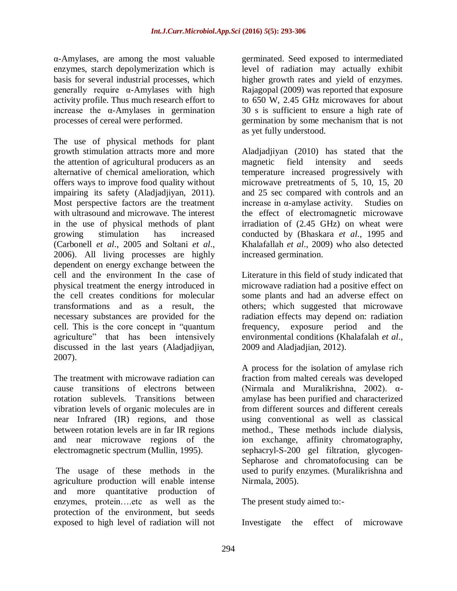α-Amylases, are among the most valuable enzymes, starch depolymerization which is basis for several industrial processes, which generally require α-Amylases with high activity profile. Thus much research effort to increase the  $\alpha$ -Amylases in germination processes of cereal were performed.

The use of physical methods for plant growth stimulation attracts more and more the attention of agricultural producers as an alternative of chemical amelioration, which offers ways to improve food quality without impairing its safety (Aladjadjiyan, 2011). Most perspective factors are the treatment with ultrasound and microwave. The interest in the use of physical methods of plant growing stimulation has increased (Carbonell *et al*., 2005 and Soltani *et al*., 2006). All living processes are highly dependent on energy exchange between the cell and the environment In the case of physical treatment the energy introduced in the cell creates conditions for molecular transformations and as a result, the necessary substances are provided for the cell. This is the core concept in "quantum agriculture" that has been intensively discussed in the last years (Aladjadjiyan, 2007).

The treatment with microwave radiation can cause transitions of electrons between rotation sublevels. Transitions between vibration levels of organic molecules are in near Infrared (IR) regions, and those between rotation levels are in far IR regions and near microwave regions of the electromagnetic spectrum (Mullin, 1995).

The usage of these methods in the agriculture production will enable intense and more quantitative production of enzymes, protein….etc as well as the protection of the environment, but seeds exposed to high level of radiation will not germinated. Seed exposed to intermediated level of radiation may actually exhibit higher growth rates and yield of enzymes. Rajagopal (2009) was reported that exposure to 650 W, 2.45 GHz microwaves for about 30 s is sufficient to ensure a high rate of germination by some mechanism that is not as yet fully understood.

Aladjadjiyan (2010) has stated that the magnetic field intensity and seeds temperature increased progressively with microwave pretreatments of 5, 10, 15, 20 and 25 sec compared with controls and an increase in α-amylase activity. Studies on the effect of electromagnetic microwave irradiation of (2.45 GHz) on wheat were conducted by (Bhaskara *et al*., 1995 and Khalafallah *et al*., 2009) who also detected increased germination.

Literature in this field of study indicated that microwave radiation had a positive effect on some plants and had an adverse effect on others; which suggested that microwave radiation effects may depend on: radiation frequency, exposure period and the environmental conditions (Khalafalah *et al*., 2009 and Aladjadjian, 2012).

A process for the isolation of amylase rich fraction from malted cereals was developed (Nirmala and Muralikrishna, 2002). αamylase has been purified and characterized from different sources and different cereals using conventional as well as classical method., These methods include dialysis, ion exchange, affinity chromatography, sephacryl-S-200 gel filtration, glycogen-Sepharose and chromatofocusing can be used to purify enzymes. (Muralikrishna and Nirmala, 2005).

The present study aimed to:-

Investigate the effect of microwave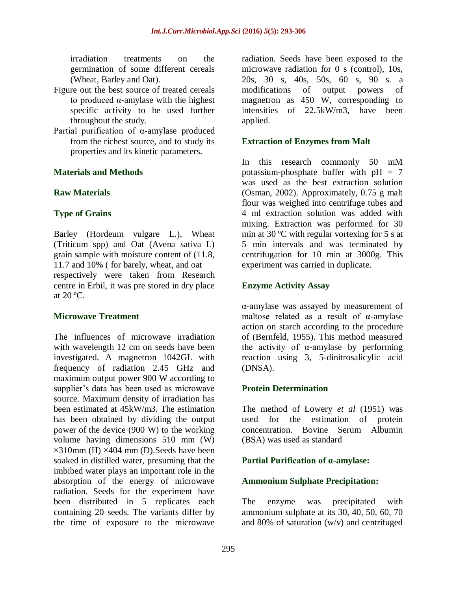irradiation treatments on the germination of some different cereals (Wheat, Barley and Oat).

- Figure out the best source of treated cereals to produced α-amylase with the highest specific activity to be used further throughout the study.
- Partial purification of α-amylase produced from the richest source, and to study its properties and its kinetic parameters.

## **Materials and Methods**

## **Raw Materials**

## **Type of Grains**

Barley (Hordeum vulgare L.), Wheat (Triticum spp) and Oat (Avena sativa L) grain sample with moisture content of (11.8, 11.7 and 10% ( for barely, wheat, and oat respectively were taken from Research centre in Erbil, it was pre stored in dry place at  $20^{\circ}$ C.

## **Microwave Treatment**

The influences of microwave irradiation with wavelength 12 cm on seeds have been investigated. A magnetron 1042GL with frequency of radiation 2.45 GHz and maximum output power 900 W according to supplier's data has been used as microwave source. Maximum density of irradiation has been estimated at 45kW/m3. The estimation has been obtained by dividing the output power of the device (900 W) to the working volume having dimensions 510 mm (W)  $\times$ 310mm (H)  $\times$ 404 mm (D). Seeds have been soaked in distilled water, presuming that the imbibed water plays an important role in the absorption of the energy of microwave radiation. Seeds for the experiment have been distributed in 5 replicates each containing 20 seeds. The variants differ by the time of exposure to the microwave

radiation. Seeds have been exposed to the microwave radiation for 0 s (control), 10s, 20s, 30 s, 40s, 50s, 60 s, 90 s. a modifications of output powers of magnetron as 450 W, corresponding to intensities of 22.5kW/m3, have been applied.

## **Extraction of Enzymes from Malt**

In this research commonly 50 mM potassium-phosphate buffer with  $pH = 7$ was used as the best extraction solution (Osman, 2002). Approximately, 0.75 g malt flour was weighed into centrifuge tubes and 4 ml extraction solution was added with mixing. Extraction was performed for 30 min at 30 ºC with regular vortexing for 5 s at 5 min intervals and was terminated by centrifugation for 10 min at 3000g. This experiment was carried in duplicate.

## **Enzyme Activity Assay**

α-amylase was assayed by measurement of maltose related as a result of α-amylase action on starch according to the procedure of (Bernfeld, 1955). This method measured the activity of  $\alpha$ -amylase by performing reaction using 3, 5-dinitrosalicylic acid (DNSA).

#### **Protein Determination**

The method of Lowery *et al* (1951) was used for the estimation of protein concentration. Bovine Serum Albumin (BSA) was used as standard

## **Partial Purification of α-amylase:**

#### **Ammonium Sulphate Precipitation:**

The enzyme was precipitated with ammonium sulphate at its 30, 40, 50, 60, 70 and 80% of saturation (w/v) and centrifuged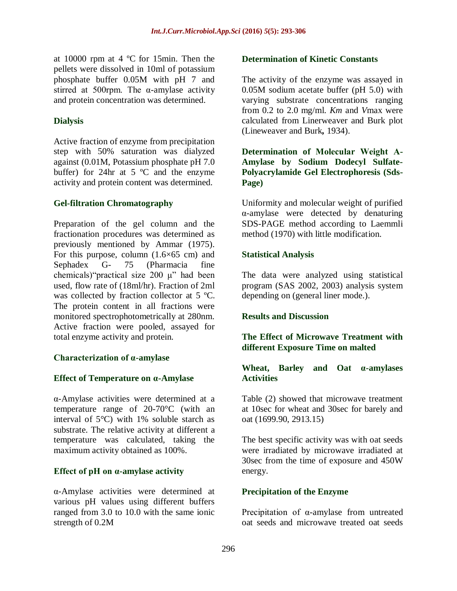at 10000 rpm at 4 ºC for 15min. Then the pellets were dissolved in 10ml of potassium phosphate buffer 0.05M with pH 7 and stirred at 500rpm. The  $\alpha$ -amylase activity and protein concentration was determined.

## **Dialysis**

Active fraction of enzyme from precipitation step with 50% saturation was dialyzed against (0.01M, Potassium phosphate pH 7.0 buffer) for 24hr at 5  $\degree$ C and the enzyme activity and protein content was determined.

## **Gel-filtration Chromatography**

Preparation of the gel column and the fractionation procedures was determined as previously mentioned by Ammar (1975). For this purpose, column  $(1.6\times65$  cm) and Sephadex G- 75 (Pharmacia fine chemicals)"practical size 200 μ" had been used, flow rate of (18ml/hr). Fraction of 2ml was collected by fraction collector at 5 °C. The protein content in all fractions were monitored spectrophotometrically at 280nm. Active fraction were pooled, assayed for total enzyme activity and protein.

## **Characterization of α-amylase**

#### **Effect of Temperature on α-Amylase**

α-Amylase activities were determined at a temperature range of 20-70°C (with an interval of 5°C) with 1% soluble starch as substrate. The relative activity at different a temperature was calculated, taking the maximum activity obtained as 100%.

## **Effect of pH on α-amylase activity**

α-Amylase activities were determined at various pH values using different buffers ranged from 3.0 to 10.0 with the same ionic strength of 0.2M

### **Determination of Kinetic Constants**

The activity of the enzyme was assayed in 0.05M sodium acetate buffer (pH 5.0) with varying substrate concentrations ranging from 0.2 to 2.0 mg/ml. *Km* and *V*max were calculated from Linerweaver and Burk plot (Lineweaver and Burk*,* 1934).

**Determination of Molecular Weight Α-Amylase by Sodium Dodecyl Sulfate-Polyacrylamide Gel Electrophoresis (Sds-Page)**

Uniformity and molecular weight of purified α-amylase were detected by denaturing SDS-PAGE method according to Laemmli method (1970) with little modification.

## **Statistical Analysis**

The data were analyzed using statistical program (SAS 2002, 2003) analysis system depending on (general liner mode.).

#### **Results and Discussion**

## **The Effect of Microwave Treatment with different Exposure Time on malted**

#### **Wheat, Barley and Oat α-amylases Activities**

Table (2) showed that microwave treatment at 10sec for wheat and 30sec for barely and oat (1699.90, 2913.15)

The best specific activity was with oat seeds were irradiated by microwave irradiated at 30sec from the time of exposure and 450W energy.

#### **Precipitation of the Enzyme**

Precipitation of α-amylase from untreated oat seeds and microwave treated oat seeds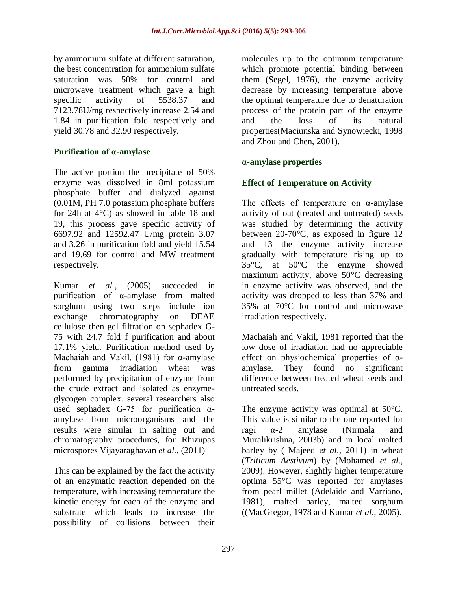by ammonium sulfate at different saturation, the best concentration for ammonium sulfate saturation was 50% for control and microwave treatment which gave a high specific activity of 5538.37 and 7123.78U/mg respectively increase 2.54 and 1.84 in purification fold respectively and yield 30.78 and 32.90 respectively.

## **Purification of α-amylase**

The active portion the precipitate of 50% enzyme was dissolved in 8ml potassium phosphate buffer and dialyzed against (0.01M, PH 7.0 potassium phosphate buffers for 24h at 4°C) as showed in table 18 and 19, this process gave specific activity of 6697.92 and 12592.47 U/mg protein 3.07 and 3.26 in purification fold and yield 15.54 and 19.69 for control and MW treatment respectively.

Kumar *et al.,* (2005) succeeded in purification of α-amylase from malted sorghum using two steps include ion exchange chromatography on DEAE cellulose then gel filtration on sephadex G-75 with 24.7 fold f purification and about 17.1% yield. Purification method used by Machaiah and Vakil, (1981) for  $\alpha$ -amylase from gamma irradiation wheat was performed by precipitation of enzyme from the crude extract and isolated as enzymeglycogen complex. several researchers also used sephadex G-75 for purification  $\alpha$ amylase from microorganisms and the results were similar in salting out and chromatography procedures, for Rhizupas microspores Vijayaraghavan *et al.,* (2011)

This can be explained by the fact the activity of an enzymatic reaction depended on the temperature, with increasing temperature the kinetic energy for each of the enzyme and substrate which leads to increase the possibility of collisions between their

molecules up to the optimum temperature which promote potential binding between them (Segel, 1976), the enzyme activity decrease by increasing temperature above the optimal temperature due to denaturation process of the protein part of the enzyme and the loss of its natural properties(Maciunska and Synowiecki, 1998 and Zhou and Chen, 2001).

## **α-amylase properties**

## **Effect of Temperature on Activity**

The effects of temperature on  $\alpha$ -amylase activity of oat (treated and untreated) seeds was studied by determining the activity between 20-70°C, as exposed in figure 12 and 13 the enzyme activity increase gradually with temperature rising up to 35°C, at 50°C the enzyme showed maximum activity, above 50°C decreasing in enzyme activity was observed, and the activity was dropped to less than 37% and 35% at 70°C for control and microwave irradiation respectively.

Machaiah and Vakil, 1981 reported that the low dose of irradiation had no appreciable effect on physiochemical properties of αamylase. They found no significant difference between treated wheat seeds and untreated seeds.

The enzyme activity was optimal at 50°C. This value is similar to the one reported for ragi α-2 amylase (Nirmala and Muralikrishna, 2003b) and in local malted barley by ( Majeed *et al*., 2011) in wheat (*Triticum Aestivum*) by (Mohamed *et al*., 2009). However, slightly higher temperature optima 55°C was reported for amylases from pearl millet (Adelaide and Varriano, 1981), malted barley, malted sorghum ((MacGregor, 1978 and Kumar *et al*., 2005).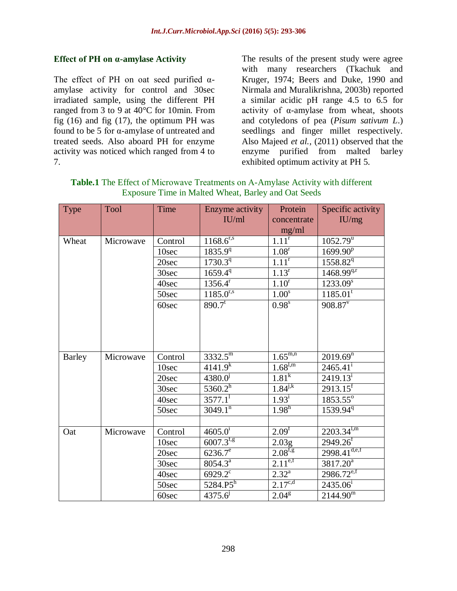## **Effect of PH on α-amylase Activity**

The effect of PH on oat seed purified  $\alpha$ amylase activity for control and 30sec irradiated sample, using the different PH ranged from 3 to 9 at 40°C for 10min. From fig  $(16)$  and fig  $(17)$ , the optimum PH was found to be 5 for α-amylase of untreated and treated seeds. Also aboard PH for enzyme activity was noticed which ranged from 4 to 7.

The results of the present study were agree with many researchers (Tkachuk and Kruger, 1974; Beers and Duke, 1990 and Nirmala and Muralikrishna, 2003b) reported a similar acidic pH range 4.5 to 6.5 for activity of α-amylase from wheat, shoots and cotyledons of pea (*Pisum sativum L*.) seedlings and finger millet respectively. Also Majeed *et al.,* (2011) observed that the enzyme purified from malted barley exhibited optimum activity at PH 5.

| Type          | Tool      | Time    | Enzyme activity<br>IU/ml  | Protein<br>concentrate         | Specific activity<br>IU/mg |
|---------------|-----------|---------|---------------------------|--------------------------------|----------------------------|
|               |           |         |                           | mg/ml<br>$\overline{1.11}^r$   |                            |
| Wheat         | Microwave | Control | $1\overline{168.6}^{r,s}$ |                                | $1052.79^u$                |
|               |           | 10sec   | 1835.9 <sup>q</sup>       | 1.08 <sup>r</sup>              | $1699.90^{p}$              |
|               |           | 20sec   | $1730.3^{q}$              | $\overline{1.11}^r$            | 1558.82 <sup>q</sup>       |
|               |           | 30sec   | $1659.4^{\overline{q}}$   | $1.13^r$                       | $1468.99^{q,r}$            |
|               |           | 40sec   | $1356.4^r$                | 1.10 <sup>r</sup>              | $1233.09^{s}$              |
|               |           | 50sec   | $1185.0^{r,s}$            | 1.00 <sup>s</sup>              | $1185.01^t$                |
|               |           | 60sec   | $890.7^t$                 | $\overline{0.98}$ <sup>s</sup> | $908.87$ <sup>v</sup>      |
| <b>Barley</b> | Microwave | Control | $3332.5^{\rm m}$          | $1.\overline{65^{m,n}}$        | $2019.69^{n}$              |
|               |           | 10sec   | $4141.9^{k}$              | $1.68^{l,m}$                   | $2465.41^{\mathrm{i}}$     |
|               |           | 20sec   | $4380.0^{j}$              | 1.81 <sup>k</sup>              | $\overline{2419.13}^{i}$   |
|               |           | 30sec   | $5360.2^h$                | $1.84^{j,k}$                   | $2913.15$ <sup>f</sup>     |
|               |           | 40sec   | $3577.1$ <sup>T</sup>     | $1.93^{\rm i}$                 | 1853.55°                   |
|               |           | 50sec   | $3049.1^{n}$              | $1.98^{\rm h}$                 | 1539.94 <sup>q</sup>       |
|               |           |         |                           |                                |                            |
| Oat           | Microwave | Control | 4605.0 <sup>i</sup>       | $2.09^{f}$                     | $2203.34^{l,m}$            |
|               |           | 10sec   | $6007.3^{f,g}$            | 2.03g                          | $2949.26$ <sup>f</sup>     |
|               |           | 20sec   | $6236.7^e$                | $2.08^{f,g}$                   | $2998.41^{d,e,f}$          |
|               |           | 30sec   | $8054.3^{\overline{a}}$   | $2.11^{e,f}$                   | $3817.20^a$                |
|               |           | 40sec   | $6929.2^{\circ}$          | $2.32^{a}$                     | $2986.72^{e,f}$            |
|               |           | 50sec   | $5284.P5^h$               | $2.17^{c,d}$                   | $2435.06^{i}$              |
|               |           | 60sec   | $4375.6^{j}$              | 2.04 <sup>g</sup>              | $2144.90^{\rm m}$          |

**Table.1** The Effect of Microwave Treatments on Α-Amylase Activity with different Exposure Time in Malted Wheat, Barley and Oat Seeds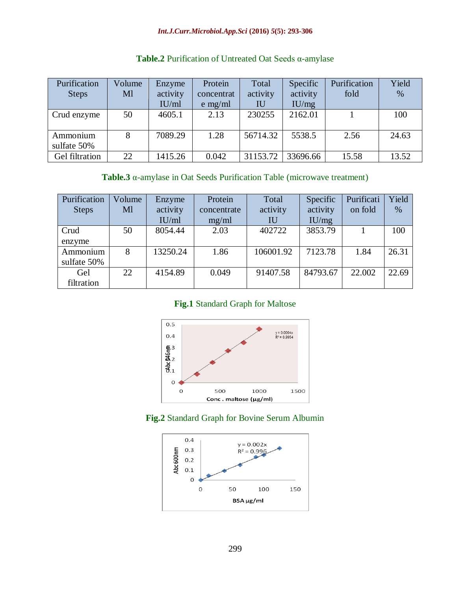#### *Int.J.Curr.Microbiol.App.Sci* **(2016)** *5***(5): 293-306**

| Purification<br><b>Steps</b> | Volume<br>Ml | Enzyme<br>activity<br>IU/ml | Protein<br>concentrat<br>$e$ mg/ml | Total<br>activity<br>IU | Specific<br>activity<br>IU/mg | Purification<br>fold | Yield<br>% |
|------------------------------|--------------|-----------------------------|------------------------------------|-------------------------|-------------------------------|----------------------|------------|
| Crud enzyme                  | 50           | 4605.1                      | 2.13                               | 230255                  | 2162.01                       |                      | 100        |
| Ammonium<br>sulfate 50%      | 8            | 7089.29                     | 1.28                               | 56714.32                | 5538.5                        | 2.56                 | 24.63      |
| Gel filtration               | 22           | 1415.26                     | 0.042                              | 31153.72                | 33696.66                      | 15.58                | 13.52      |

## **Table.2** Purification of Untreated Oat Seeds α-amylase

## **Table.3** α-amylase in Oat Seeds Purification Table (microwave treatment)

| Purification | Volume | Enzyme   | Protein     | Total     | Specific | Purificati | Yield |
|--------------|--------|----------|-------------|-----------|----------|------------|-------|
| <b>Steps</b> | Ml     | activity | concentrate | activity  | activity | on fold    | $\%$  |
|              |        | IU/ml    | mg/ml       | IU        | IU/mg    |            |       |
| Crud         | 50     | 8054.44  | 2.03        | 402722    | 3853.79  |            | 100   |
| enzyme       |        |          |             |           |          |            |       |
| Ammonium     | 8      | 13250.24 | 1.86        | 106001.92 | 7123.78  | 1.84       | 26.31 |
| sulfate 50%  |        |          |             |           |          |            |       |
| Gel          | 22     | 4154.89  | 0.049       | 91407.58  | 84793.67 | 22.002     | 22.69 |
| filtration   |        |          |             |           |          |            |       |

## **Fig.1** Standard Graph for Maltose



#### **Fig.2** Standard Graph for Bovine Serum Albumin

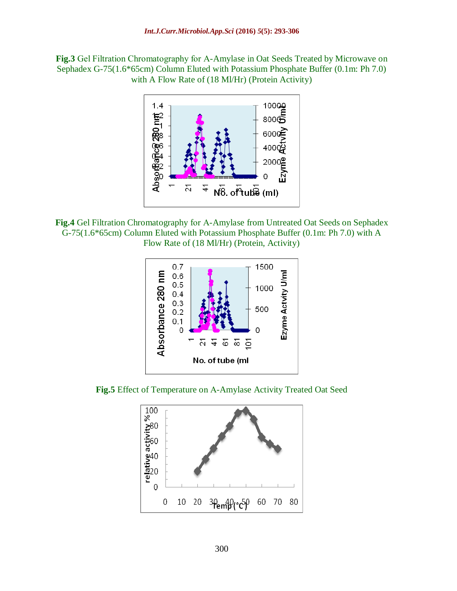**Fig.3** Gel Filtration Chromatography for Α-Amylase in Oat Seeds Treated by Microwave on Sephadex G-75(1.6\*65cm) Column Eluted with Potassium Phosphate Buffer (0.1m: Ph 7.0) with A Flow Rate of (18 Ml/Hr) (Protein Activity)



**Fig.4** Gel Filtration Chromatography for Α-Amylase from Untreated Oat Seeds on Sephadex G-75(1.6\*65cm) Column Eluted with Potassium Phosphate Buffer (0.1m: Ph 7.0) with A Flow Rate of (18 Ml/Hr) (Protein, Activity)



**Fig.5** Effect of Temperature on Α-Amylase Activity Treated Oat Seed

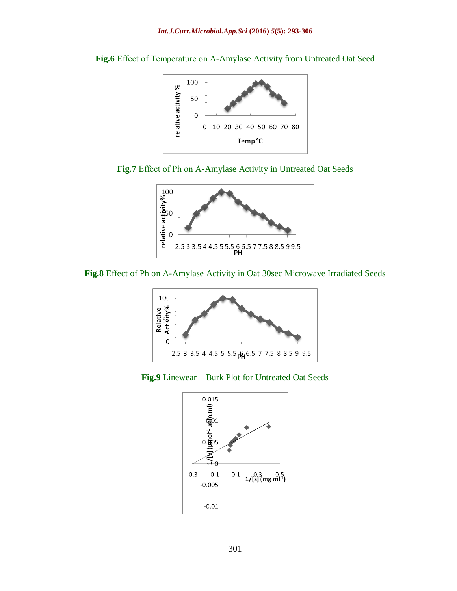



**Fig.7** Effect of Ph on Α-Amylase Activity in Untreated Oat Seeds



**Fig.8** Effect of Ph on Α-Amylase Activity in Oat 30sec Microwave Irradiated Seeds



**Fig.9** Linewear – Burk Plot for Untreated Oat Seeds

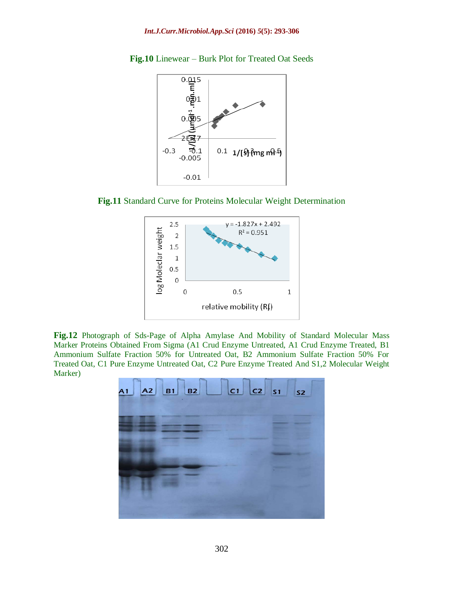

**Fig.10** Linewear – Burk Plot for Treated Oat Seeds





**Fig.12** Photograph of Sds-Page of Alpha Amylase And Mobility of Standard Molecular Mass Marker Proteins Obtained From Sigma (A1 Crud Enzyme Untreated, A1 Crud Enzyme Treated, B1 Ammonium Sulfate Fraction 50% for Untreated Oat, B2 Ammonium Sulfate Fraction 50% For Treated Oat, C1 Pure Enzyme Untreated Oat, C2 Pure Enzyme Treated And S1,2 Molecular Weight Marker)

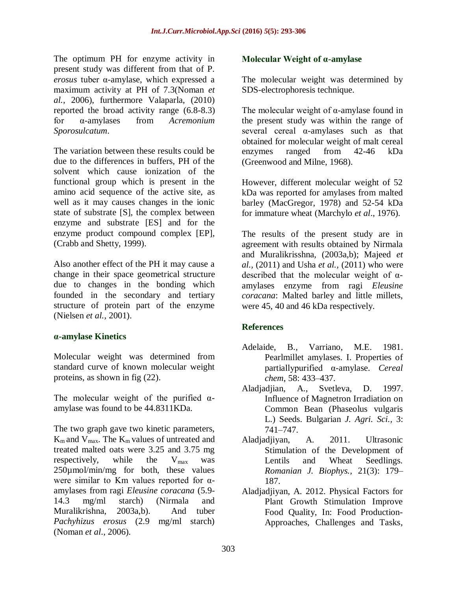The optimum PH for enzyme activity in present study was different from that of P. *erosus* tuber α-amylase, which expressed a maximum activity at PH of 7.3(Noman *et al.,* 2006), furthermore Valaparla, (2010) reported the broad activity range (6.8-8.3) for α-amylases from *Acremonium Sporosulcatum*.

The variation between these results could be due to the differences in buffers, PH of the solvent which cause ionization of the functional group which is present in the amino acid sequence of the active site, as well as it may causes changes in the ionic state of substrate [S], the complex between enzyme and substrate [ES] and for the enzyme product compound complex [EP], (Crabb and Shetty, 1999).

Also another effect of the PH it may cause a change in their space geometrical structure due to changes in the bonding which founded in the secondary and tertiary structure of protein part of the enzyme (Nielsen *et al.,* 2001).

## **α-amylase Kinetics**

Molecular weight was determined from standard curve of known molecular weight proteins, as shown in fig (22).

The molecular weight of the purified  $\alpha$ amylase was found to be 44.8311KDa.

The two graph gave two kinetic parameters,  $K_m$  and  $V_{max}$ . The  $K_m$  values of untreated and treated malted oats were 3.25 and 3.75 mg respectively, while the  $V_{\text{max}}$  was 250µmol/min/mg for both, these values were similar to Km values reported for  $\alpha$ amylases from ragi *Eleusine coracana* (5.9- 14.3 mg/ml starch) (Nirmala and Muralikrishna, 2003a,b). And tuber *Pachyhizus erosus* (2.9 mg/ml starch) (Noman *et al*., 2006).

## **Molecular Weight of α-amylase**

The molecular weight was determined by SDS-electrophoresis technique.

The molecular weight of  $\alpha$ -amylase found in the present study was within the range of several cereal  $\alpha$ -amylases such as that obtained for molecular weight of malt cereal enzymes ranged from 42-46 kDa (Greenwood and Milne, 1968).

However, different molecular weight of 52 kDa was reported for amylases from malted barley (MacGregor, 1978) and 52-54 kDa for immature wheat (Marchylo *et al*., 1976).

The results of the present study are in agreement with results obtained by Nirmala and Muralikrisshna, (2003a,b); Majeed *et al.,* (2011) and Usha *et al.,* (2011) who were described that the molecular weight of  $\alpha$ amylases enzyme from ragi *Eleusine coracana*: Malted barley and little millets, were 45, 40 and 46 kDa respectively.

## **References**

- Adelaide, B., Varriano, M.E. 1981. Pearlmillet amylases. I. Properties of partiallypurified α-amylase. *Cereal chem*, 58: 433–437.
- Aladjadjian, A., Svetleva, D. 1997. Influence of Magnetron Irradiation on Common Bean (Phaseolus vulgaris L.) Seeds. Bulgarian *J. Agri. Sci.,* 3: 741–747.
- Aladjadjiyan, A. 2011. Ultrasonic Stimulation of the Development of Lentils and Wheat Seedlings. *Romanian J. Biophys.,* 21(3): 179– 187.
- Aladjadjiyan, A. 2012. Physical Factors for Plant Growth Stimulation Improve Food Quality, In: Food Production-Approaches, Challenges and Tasks*,*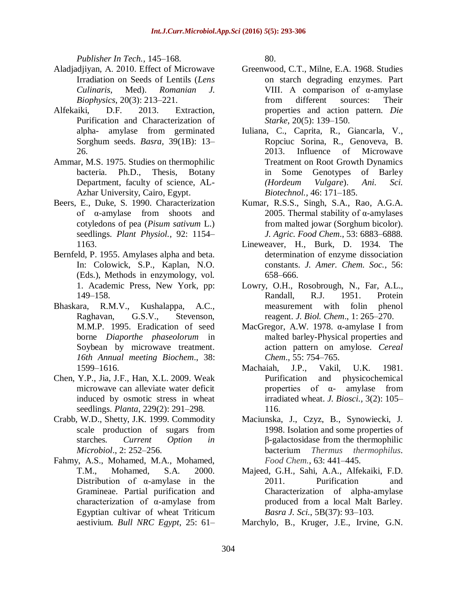*Publisher In Tech.,* 145–168.

- Aladjadjiyan, А. 2010. Effect of Microwave Irradiation on Seeds of Lentils (*Lens Culinaris*, Med). *Romanian J. Biophysics*, 20(3): 213–221.
- Alfekaiki, D.F. 2013. Extraction, Purification and Characterization of alpha- amylase from germinated Sorghum seeds. *Basra,* 39(1B): 13– 26.
- Ammar, M.S. 1975. Studies on thermophilic bacteria. Ph.D., Thesis, Botany Department, faculty of science, AL-Azhar University, Cairo, Egypt.
- Beers, E., Duke, S. 1990. Characterization of α-amylase from shoots and cotyledons of pea (*Pisum sativum* L.) seedlings. *Plant Physiol.,* 92: 1154– 1163.
- Bernfeld, P. 1955. Amylases alpha and beta. In: Colowick, S.P., Kaplan, N.O. (Eds.), Methods in enzymology, vol. 1. Academic Press, New York, pp: 149–158.
- Bhaskara, R.M.V., Kushalappa, A.C., Raghavan, G.S.V., Stevenson, M.M.P. 1995. Eradication of seed borne *Diaporthe phaseolorum* in Soybean by microwave treatment. *16th Annual meeting Biochem*., 38: 1599–1616.
- Chen, Y.P., Jia, J.F., Han, X.L. 2009. Weak microwave can alleviate water deficit induced by osmotic stress in wheat seedlings. *Planta*, 229(2): 291–298.
- Crabb, W.D., Shetty, J.K. 1999. Commodity scale production of sugars from starches*. Current Option in Microbiol*., 2: 252–256.
- Fahmy, A.S., Mohamed, M.A., Mohamed, T.M., Mohamed, S.A. 2000. Distribution of α-amylase in the Gramineae. Partial purification and characterization of α-amylase from Egyptian cultivar of wheat Triticum aestivium*. Bull NRC Egypt*, 25: 61–

80.

- Greenwood, C.T., Milne, E.A. 1968. Studies on starch degrading enzymes. Part VIII. A comparison of α-amylase from different sources: Their properties and action pattern*. Die Starke*, 20(5): 139–150.
- Iuliana, C., Caprita, R., Giancarla, V., Ropciuc Sorina, R., Genoveva, B. 2013. Influence of Microwave Treatment on Root Growth Dynamics in Some Genotypes of Barley *(Hordeum Vulgare*). *Ani. Sci. Biotechnol.,* 46: 171–185.
- Kumar, R.S.S., Singh, S.A., Rao, A.G.A. 2005. Thermal stability of  $α$ -amylases from malted jowar (Sorghum bicolor). *J. Agric. Food Chem*., 53: 6883–6888.
- Lineweaver, H., Burk, D. 1934. The determination of enzyme dissociation constants. *J. Amer. Chem. Soc.*, 56: 658–666.
- Lowry, O.H., Rosobrough, N., Far, A.L., Randall, R.J. 1951. Protein measurement with folin phenol reagent. *J. Biol. Chem*., 1: 265–270.
- MacGregor, A.W. 1978. α-amylase I from malted barley-Physical properties and action pattern on amylose. *Cereal Chem*., 55: 754–765.
- Machaiah, J.P., Vakil, U.K. 1981. Purification and physicochemical properties of α- amylase from irradiated wheat. *J. Biosci.,* 3(2): 105– 116.
- Maciunska, J., Czyz, B., Synowiecki, J. 1998. Isolation and some properties of β-galactosidase from the thermophilic bacterium *Thermus thermophilus*. *Food Chem.*, 63: 441–445.
- Majeed, G.H., Sahi, A.A., Alfekaiki, F.D. 2011. Purification and Characterization of alpha-amylase produced from a local Malt Barley. *Basra J. Sci.*, 5B(37): 93–103.
- Marchylo, B., Kruger, J.E., Irvine, G.N.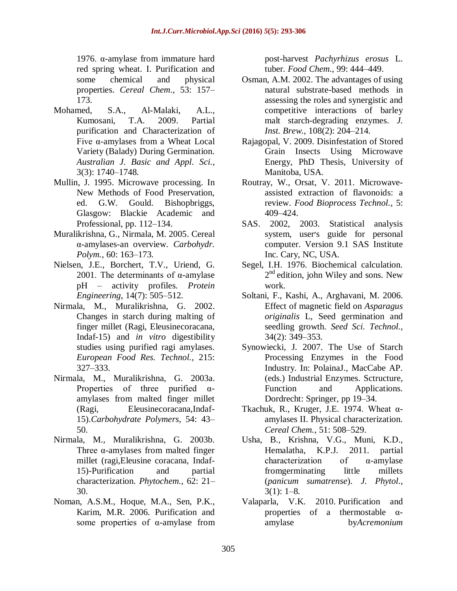1976. α-amylase from immature hard red spring wheat. I. Purification and some chemical and physical properties. *Cereal Chem*., 53: 157– 173.

- Mohamed, S.A., Al-Malaki, A.L., Kumosani, T.A. 2009. Partial purification and Characterization of Five α-amylases from a Wheat Local Variety (Balady) During Germination. *Australian J. Basic and Appl. Sci.*, 3(3): 1740–1748.
- Mullin, J. 1995. Microwave processing. In New Methods of Food Preservation, ed. G.W. Gould. Bishopbriggs, Glasgow: Blackie Academic and Professional, pp. 112–134.
- Muralikrishna, G., Nirmala, M. 2005. Cereal α-amylases-an overview*. Carbohydr. Polym.*, 60: 163–173.
- Nielsen, J.E., Borchert, T.V., Uriend, G. 2001. The determinants of α-amylase pH – activity profiles*. Protein Engineering*, 14(7): 505–512.
- Nirmala, M., Muralikrishna, G. 2002. Changes in starch during malting of finger millet (Ragi, Eleusinecoracana, Indaf-15) and *in vitro* digestibility studies using purified ragi amylases. *European Food Res. Technol.,* 215: 327–333.
- Nirmala, M., Muralikrishna, G. 2003a. Properties of three purified  $\alpha$ amylases from malted finger millet (Ragi, Eleusinecoracana,Indaf-15).*Carbohydrate Polymers*, 54: 43– 50.
- Nirmala, M., Muralikrishna, G. 2003b. Three α-amylases from malted finger millet (ragi,Eleusine coracana, Indaf-15)-Purification and partial characterization. *Phytochem.*, 62: 21– 30.
- Noman, A.S.M., Hoque, M.A., Sen, P.K., Karim, M.R. 2006. Purification and some properties of α-amylase from

post-harvest *Pachyrhizus erosus* L. tuber*. Food Chem.*, 99: 444–449.

- Osman, A.M. 2002. The advantages of using natural substrate-based methods in assessing the roles and synergistic and competitive interactions of barley malt starch-degrading enzymes. *J. Inst. Brew.,* 108(2): 204–214.
- Rajagopal, V. 2009. Disinfestation of Stored Grain Insects Using Microwave Energy, PhD Thesis, University of Manitoba, USA.
- Routray, W., Orsat, V. 2011. Microwaveassisted extraction of flavonoids: a review. *Food Bioprocess Technol.*, 5: 409–424.
- SAS. 2002, 2003. Statistical analysis system, user׳s guide for personal computer. Version 9.1 SAS Institute Inc. Cary, NC, USA.
- Segel, I.H. 1976. Biochemical calculation. 2<sup>nd</sup> edition, john Wiley and sons. New work.
- Soltani, F., Kashi, A., Arghavani, M. 2006. Effect of magnetic field on *Asparagus originalis* L, Seed germination and seedling growth. *Seed Sci. Technol.,* 34(2): 349–353.
- Synowiecki, J. 2007. The Use of Starch Processing Enzymes in the Food Industry. In: PolainaJ., MacCabe AP. (eds.) Industrial Enzymes. Sctructure, Function and Applications. Dordrecht: Springer, pp 19–34.
- Tkachuk, R., Kruger, J.E. 1974. Wheat  $\alpha$ amylases II. Physical characterization. *Cereal Chem.*, 51: 508–529.
- Usha, B., Krishna, V.G., Muni, K.D., Hemalatha, K.P.J. 2011. partial characterization of α-amylase fromgerminating little millets (*panicum sumatrense*). *J. Phytol.*,  $3(1): 1-8.$
- Valaparla, V.K. 2010. Purification and properties of a thermostable αamylase by*Acremonium*